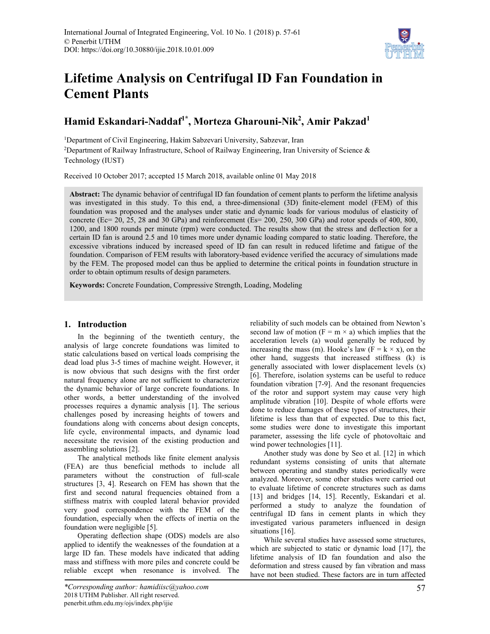

# **Lifetime Analysis on Centrifugal ID Fan Foundation in Cement Plants**

## **Hamid Eskandari-Naddaf1\*, Morteza Gharouni-Nik2 , Amir Pakzad<sup>1</sup>**

<sup>1</sup>Department of Civil Engineering, Hakim Sabzevari University, Sabzevar, Iran <sup>2</sup>Department of Railway Infrastructure, School of Railway Engineering, Iran University of Science  $\&$ Technology (IUST)

Received 10 October 2017; accepted 15 March 2018, available online 01 May 2018

**Abstract:** The dynamic behavior of centrifugal ID fan foundation of cement plants to perform the lifetime analysis was investigated in this study. To this end, a three-dimensional (3D) finite-element model (FEM) of this foundation was proposed and the analyses under static and dynamic loads for various modulus of elasticity of concrete (Ec= 20, 25, 28 and 30 GPa) and reinforcement (Es= 200, 250, 300 GPa) and rotor speeds of 400, 800, 1200, and 1800 rounds per minute (rpm) were conducted. The results show that the stress and deflection for a certain ID fan is around 2.5 and 10 times more under dynamic loading compared to static loading. Therefore, the excessive vibrations induced by increased speed of ID fan can result in reduced lifetime and fatigue of the foundation. Comparison of FEM results with laboratory-based evidence verified the accuracy of simulations made by the FEM. The proposed model can thus be applied to determine the critical points in foundation structure in order to obtain optimum results of design parameters.

**Keywords:** Concrete Foundation, Compressive Strength, Loading, Modeling

### **1. Introduction**

In the beginning of the twentieth century, the analysis of large concrete foundations was limited to static calculations based on vertical loads comprising the dead load plus 3-5 times of machine weight. However, it is now obvious that such designs with the first order natural frequency alone are not sufficient to characterize the dynamic behavior of large concrete foundations. In other words, a better understanding of the involved processes requires a dynamic analysis [1]. The serious challenges posed by increasing heights of towers and foundations along with concerns about design concepts, life cycle, environmental impacts, and dynamic load necessitate the revision of the existing production and assembling solutions [2].

The analytical methods like finite element analysis (FEA) are thus beneficial methods to include all parameters without the construction of full-scale structures [3, 4]. Research on FEM has shown that the first and second natural frequencies obtained from a stiffness matrix with coupled lateral behavior provided very good correspondence with the FEM of the foundation, especially when the effects of inertia on the foundation were negligible [5].

Operating deflection shape (ODS) models are also applied to identify the weaknesses of the foundation at a large ID fan. These models have indicated that adding mass and stiffness with more piles and concrete could be reliable except when resonance is involved. The

*\*Corresponding author: hamidiisc@yahoo.com* 2018 UTHM Publisher. All right reserved. penerbit.uthm.edu.my/ojs/index.php/ijie

reliability of such models can be obtained from Newton's second law of motion ( $F = m \times a$ ) which implies that the acceleration levels (a) would generally be reduced by increasing the mass (m). Hooke's law  $(F = k \times x)$ , on the other hand, suggests that increased stiffness (k) is generally associated with lower displacement levels (x) [6]. Therefore, isolation systems can be useful to reduce foundation vibration [7-9]. And the resonant frequencies of the rotor and support system may cause very high amplitude vibration [10]. Despite of whole efforts were done to reduce damages of these types of structures, their lifetime is less than that of expected. Due to this fact, some studies were done to investigate this important parameter, assessing the life cycle of photovoltaic and wind power technologies [11].

Another study was done by Seo et al. [12] in which redundant systems consisting of units that alternate between operating and standby states periodically were analyzed. Moreover, some other studies were carried out to evaluate lifetime of concrete structures such as dams [13] and bridges [14, 15]. Recently, Eskandari et al. performed a study to analyze the foundation of centrifugal ID fans in cement plants in which they investigated various parameters influenced in design situations [16].

While several studies have assessed some structures, which are subjected to static or dynamic load [17], the lifetime analysis of ID fan foundation and also the deformation and stress caused by fan vibration and mass have not been studied. These factors are in turn affected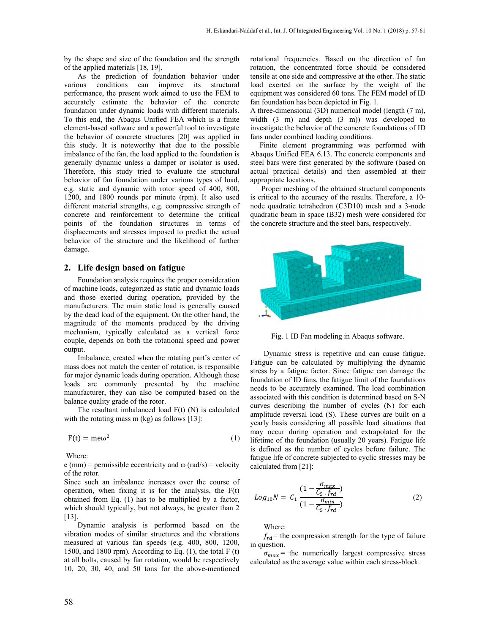by the shape and size of the foundation and the strength of the applied materials [18, 19].

As the prediction of foundation behavior under various conditions can improve its structural performance, the present work aimed to use the FEM to accurately estimate the behavior of the concrete foundation under dynamic loads with different materials. To this end, the Abaqus Unified FEA which is a finite element-based software and a powerful tool to investigate the behavior of concrete structures [20] was applied in this study. It is noteworthy that due to the possible imbalance of the fan, the load applied to the foundation is generally dynamic unless a damper or isolator is used. Therefore, this study tried to evaluate the structural behavior of fan foundation under various types of load, e.g. static and dynamic with rotor speed of 400, 800, 1200, and 1800 rounds per minute (rpm). It also used different material strengths, e.g. compressive strength of concrete and reinforcement to determine the critical points of the foundation structures in terms of displacements and stresses imposed to predict the actual behavior of the structure and the likelihood of further damage.

#### **2. Life design based on fatigue**

Foundation analysis requires the proper consideration of machine loads, categorized as static and dynamic loads and those exerted during operation, provided by the manufacturers. The main static load is generally caused by the dead load of the equipment. On the other hand, the magnitude of the moments produced by the driving mechanism, typically calculated as a vertical force couple, depends on both the rotational speed and power output.

Imbalance, created when the rotating part's center of mass does not match the center of rotation, is responsible for major dynamic loads during operation. Although these loads are commonly presented by the machine manufacturer, they can also be computed based on the balance quality grade of the rotor.

The resultant imbalanced load  $F(t)$  (N) is calculated with the rotating mass m (kg) as follows [13]:

$$
F(t) = me\omega^2
$$
 (1)

Where:

e (mm) = permissible eccentricity and  $\omega$  (rad/s) = velocity of the rotor.

Since such an imbalance increases over the course of operation, when fixing it is for the analysis, the F(t) obtained from Eq. (1) has to be multiplied by a factor, which should typically, but not always, be greater than 2 [13].

Dynamic analysis is performed based on the vibration modes of similar structures and the vibrations measured at various fan speeds (e.g. 400, 800, 1200, 1500, and 1800 rpm). According to Eq.  $(1)$ , the total F $(t)$ at all bolts, caused by fan rotation, would be respectively 10, 20, 30, 40, and 50 tons for the above-mentioned rotational frequencies. Based on the direction of fan rotation, the concentrated force should be considered tensile at one side and compressive at the other. The static load exerted on the surface by the weight of the equipment was considered 60 tons. The FEM model of ID fan foundation has been depicted in Fig. 1.

A three-dimensional (3D) numerical model (length (7 m), width (3 m) and depth (3 m)) was developed to investigate the behavior of the concrete foundations of ID fans under combined loading conditions.

 Finite element programming was performed with Abaqus Unified FEA 6.13. The concrete components and steel bars were first generated by the software (based on actual practical details) and then assembled at their appropriate locations.

 Proper meshing of the obtained structural components is critical to the accuracy of the results. Therefore, a 10 node quadratic tetrahedron (C3D10) mesh and a 3-node quadratic beam in space (B32) mesh were considered for the concrete structure and the steel bars, respectively.



Fig. 1 ID Fan modeling in Abaqus software.

Dynamic stress is repetitive and can cause fatigue. Fatigue can be calculated by multiplying the dynamic stress by a fatigue factor. Since fatigue can damage the foundation of ID fans, the fatigue limit of the foundations needs to be accurately examined. The load combination associated with this condition is determined based on S-N curves describing the number of cycles (N) for each amplitude reversal load (S). These curves are built on a yearly basis considering all possible load situations that may occur during operation and extrapolated for the lifetime of the foundation (usually 20 years). Fatigue life is defined as the number of cycles before failure. The fatigue life of concrete subjected to cyclic stresses may be calculated from [21]:

$$
Log_{10}N = C_1 \frac{(1 - \frac{\sigma_{max}}{C_5 \cdot f_{rd}})}{(1 - \frac{\sigma_{min}}{C_5 \cdot f_{rd}})}
$$
(2)

Where:

 $f_{rd}$  = the compression strength for the type of failure in question.

 $\sigma_{max}$  = the numerically largest compressive stress calculated as the average value within each stress-block.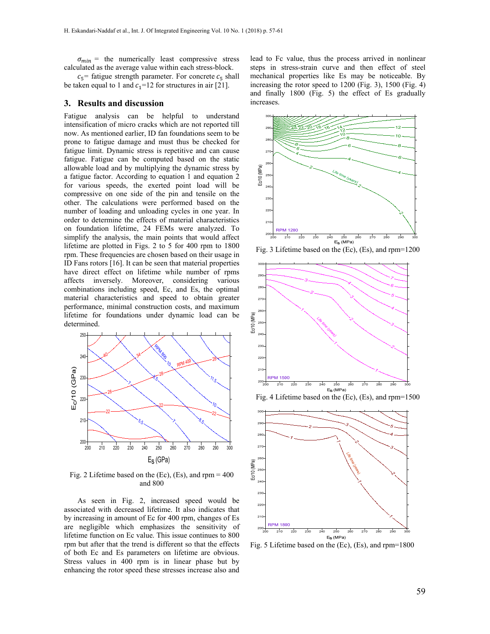$\sigma_{min}$  = the numerically least compressive stress calculated as the average value within each stress-block.

 $c_5$ = fatigue strength parameter. For concrete  $c_5$  shall be taken equal to 1 and  $c_1$ =12 for structures in air [21].

#### **3. Results and discussion**

Fatigue analysis can be helpful to understand intensification of micro cracks which are not reported till now. As mentioned earlier, ID fan foundations seem to be prone to fatigue damage and must thus be checked for fatigue limit. Dynamic stress is repetitive and can cause fatigue. Fatigue can be computed based on the static allowable load and by multiplying the dynamic stress by a fatigue factor. According to equation 1 and equation 2 for various speeds, the exerted point load will be compressive on one side of the pin and tensile on the other. The calculations were performed based on the number of loading and unloading cycles in one year. In order to determine the effects of material characteristics on foundation lifetime, 24 FEMs were analyzed. To simplify the analysis, the main points that would affect lifetime are plotted in Figs. 2 to 5 for 400 rpm to 1800 rpm. These frequencies are chosen based on their usage in ID Fans rotors [16]. It can be seen that material properties have direct effect on lifetime while number of rpms affects inversely. Moreover, considering various combinations including speed, Ec, and Es, the optimal material characteristics and speed to obtain greater performance, minimal construction costs, and maximum lifetime for foundations under dynamic load can be determined.



Fig. 2 Lifetime based on the  $(Ec)$ ,  $(Es)$ , and rpm = 400 and 800

As seen in Fig. 2, increased speed would be associated with decreased lifetime. It also indicates that by increasing in amount of Ec for 400 rpm, changes of Es are negligible which emphasizes the sensitivity of lifetime function on Ec value. This issue continues to 800 rpm but after that the trend is different so that the effects of both Ec and Es parameters on lifetime are obvious. Stress values in 400 rpm is in linear phase but by enhancing the rotor speed these stresses increase also and

lead to Fc value, thus the process arrived in nonlinear steps in stress-strain curve and then effect of steel mechanical properties like Es may be noticeable. By increasing the rotor speed to 1200 (Fig. 3), 1500 (Fig. 4) and finally 1800 (Fig. 5) the effect of Es gradually increases.



Fig. 3 Lifetime based on the (Ec), (Es), and rpm=1200



Fig. 4 Lifetime based on the (Ec), (Es), and rpm=1500



Fig. 5 Lifetime based on the (Ec), (Es), and rpm=1800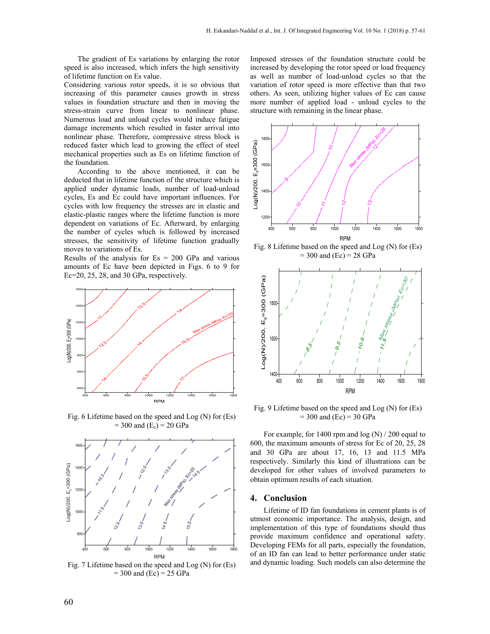The gradient of Es variations by enlarging the rotor speed is also increased, which infers the high sensitivity of lifetime function on Es value.

Considering various rotor speeds, it is so obvious that increasing of this parameter causes growth in stress values in foundation structure and then in moving the stress-strain curve from linear to nonlinear phase. Numerous load and unload cycles would induce fatigue damage increments which resulted in faster arrival into nonlinear phase. Therefore, compressive stress block is reduced faster which lead to growing the effect of steel mechanical properties such as Es on lifetime function of the foundation.

According to the above mentioned, it can be deducted that in lifetime function of the structure which is applied under dynamic loads, number of load-unload cycles, Es and Ec could have important influences. For cycles with low frequency the stresses are in elastic and elastic-plastic ranges where the lifetime function is more dependent on variations of Ec. Afterward, by enlarging the number of cycles which is followed by increased stresses, the sensitivity of lifetime function gradually moves to variations of Es.

Results of the analysis for  $Es = 200$  GPa and various amounts of Ec have been depicted in Figs. 6 to 9 for Ec=20, 25, 28, and 30 GPa, respectively.



Fig. 6 Lifetime based on the speed and Log (N) for (Es)  $= 300$  and  $(E_c) = 20$  GPa



Fig. 7 Lifetime based on the speed and Log (N) for (Es)  $= 300$  and (Ec)  $= 25$  GPa

Imposed stresses of the foundation structure could be increased by developing the rotor speed or load frequency as well as number of load-unload cycles so that the variation of rotor speed is more effective than that two others. As seen, utilizing higher values of Ec can cause more number of applied load - unload cycles to the structure with remaining in the linear phase.



Fig. 8 Lifetime based on the speed and Log (N) for (Es)  $= 300$  and (Ec)  $= 28$  GPa



Fig. 9 Lifetime based on the speed and Log (N) for (Es)  $= 300$  and (Ec)  $= 30$  GPa

For example, for 1400 rpm and log (N) / 200 equal to 600, the maximum amounts of stress for Ec of 20, 25, 28 and 30 GPa are about 17, 16, 13 and 11.5 MPa respectively. Similarly this kind of illustrations can be developed for other values of involved parameters to obtain optimum results of each situation.

#### **4. Conclusion**

Lifetime of ID fan foundations in cement plants is of utmost economic importance. The analysis, design, and implementation of this type of foundations should thus provide maximum confidence and operational safety. Developing FEMs for all parts, especially the foundation, of an ID fan can lead to better performance under static and dynamic loading. Such models can also determine the